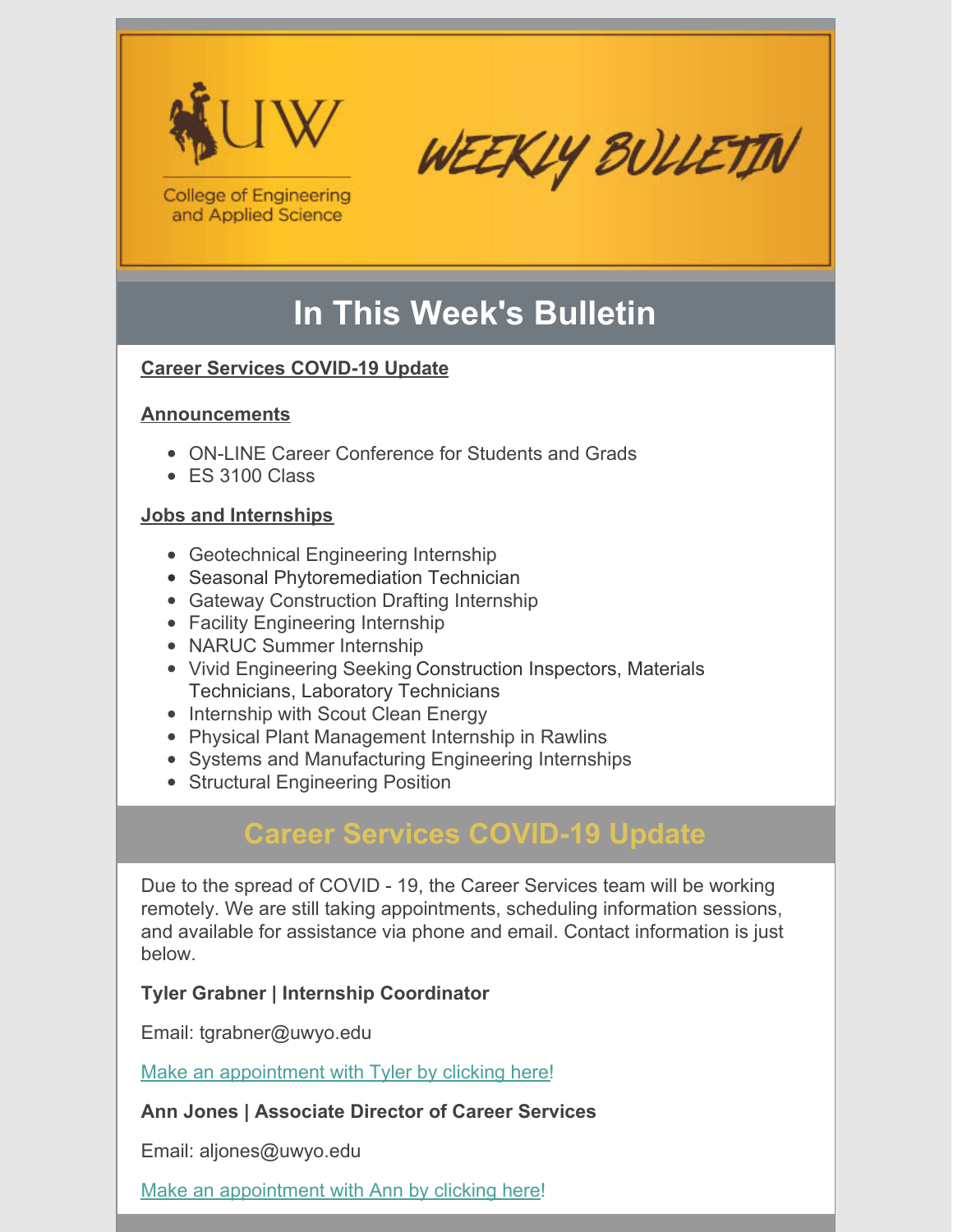



**College of Engineering** and Applied Science

# **In This Week's Bulletin**

### **Career Services COVID-19 Update**

### **Announcements**

- ON-LINE Career Conference for Students and Grads
- ES 3100 Class

### **Jobs and Internships**

- Geotechnical Engineering Internship
- Seasonal Phytoremediation Technician
- Gateway Construction Drafting Internship
- Facility Engineering Internship
- NARUC Summer Internship
- Vivid Engineering Seeking Construction Inspectors, Materials Technicians, Laboratory Technicians
- Internship with Scout Clean Energy
- Physical Plant Management Internship in Rawlins
- Systems and Manufacturing Engineering Internships
- Structural Engineering Position

# **Career Services COVID-19 Update**

Due to the spread of COVID - 19, the Career Services team will be working remotely. We are still taking appointments, scheduling information sessions, and available for assistance via phone and email. Contact information is just below.

### **Tyler Grabner | Internship Coordinator**

Email: tgrabner@uwyo.edu

Make an [appointment](https://my.timetrade.com/book/Y9J5R) with Tyler by clicking here!

### **Ann Jones | Associate Director of Career Services**

Email: aljones@uwyo.edu

Make an [appointment](https://my.timetrade.com/book/YN2QC) with Ann by clicking here!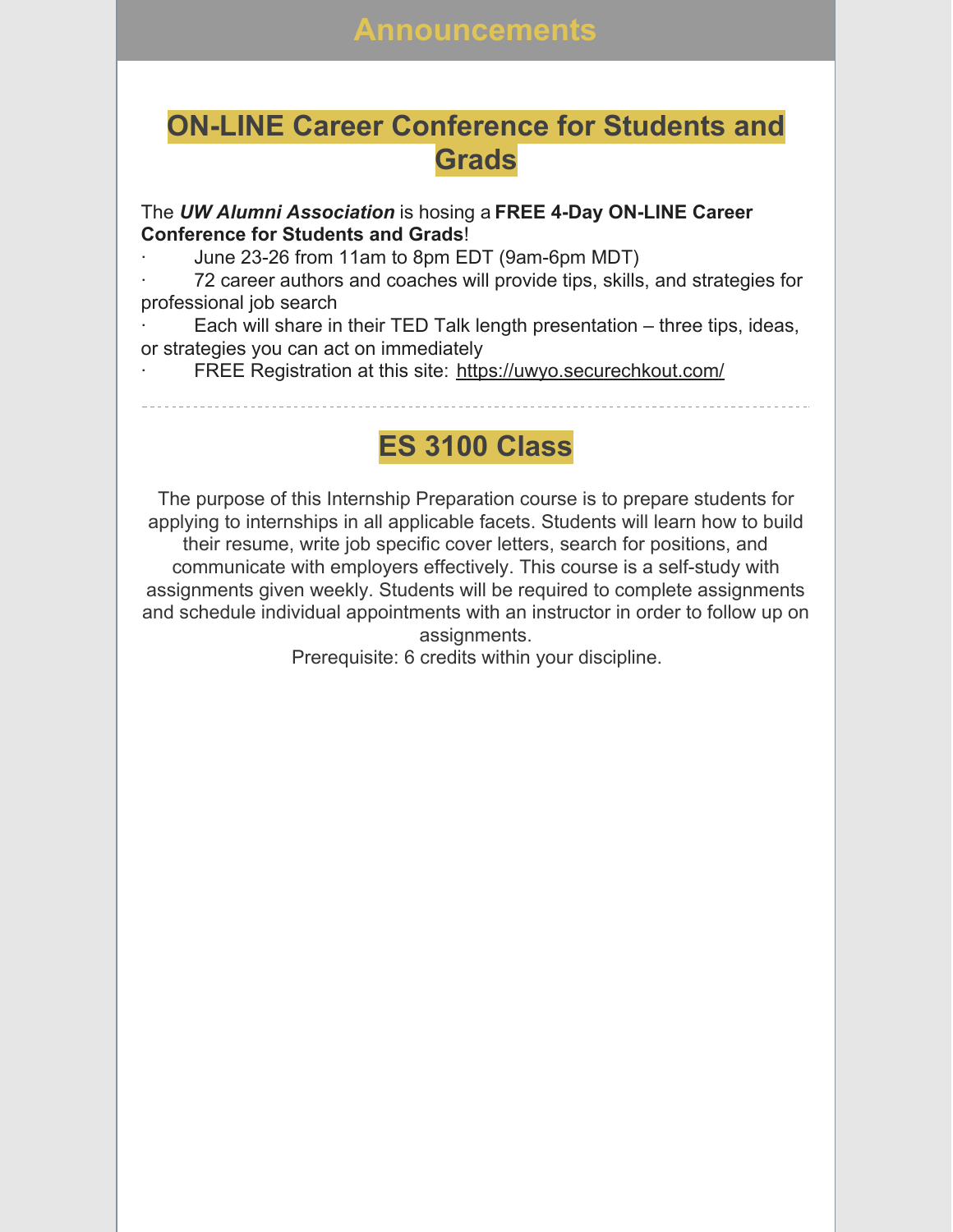### **ON-LINE Career Conference for Students and Grads**

### The *UW Alumni Association* is hosing a **FREE 4-Day ON-LINE Career Conference for Students and Grads**!

- · June 23-26 from 11am to 8pm EDT (9am-6pm MDT)
- 72 career authors and coaches will provide tips, skills, and strategies for professional job search
- Each will share in their TED Talk length presentation three tips, ideas, or strategies you can act on immediately
	- FREE Registration at this site: <https://uwyo.securechkout.com/>

# **ES 3100 Class**

The purpose of this Internship Preparation course is to prepare students for applying to internships in all applicable facets. Students will learn how to build their resume, write job specific cover letters, search for positions, and communicate with employers effectively. This course is a self-study with assignments given weekly. Students will be required to complete assignments and schedule individual appointments with an instructor in order to follow up on assignments.

Prerequisite: 6 credits within your discipline.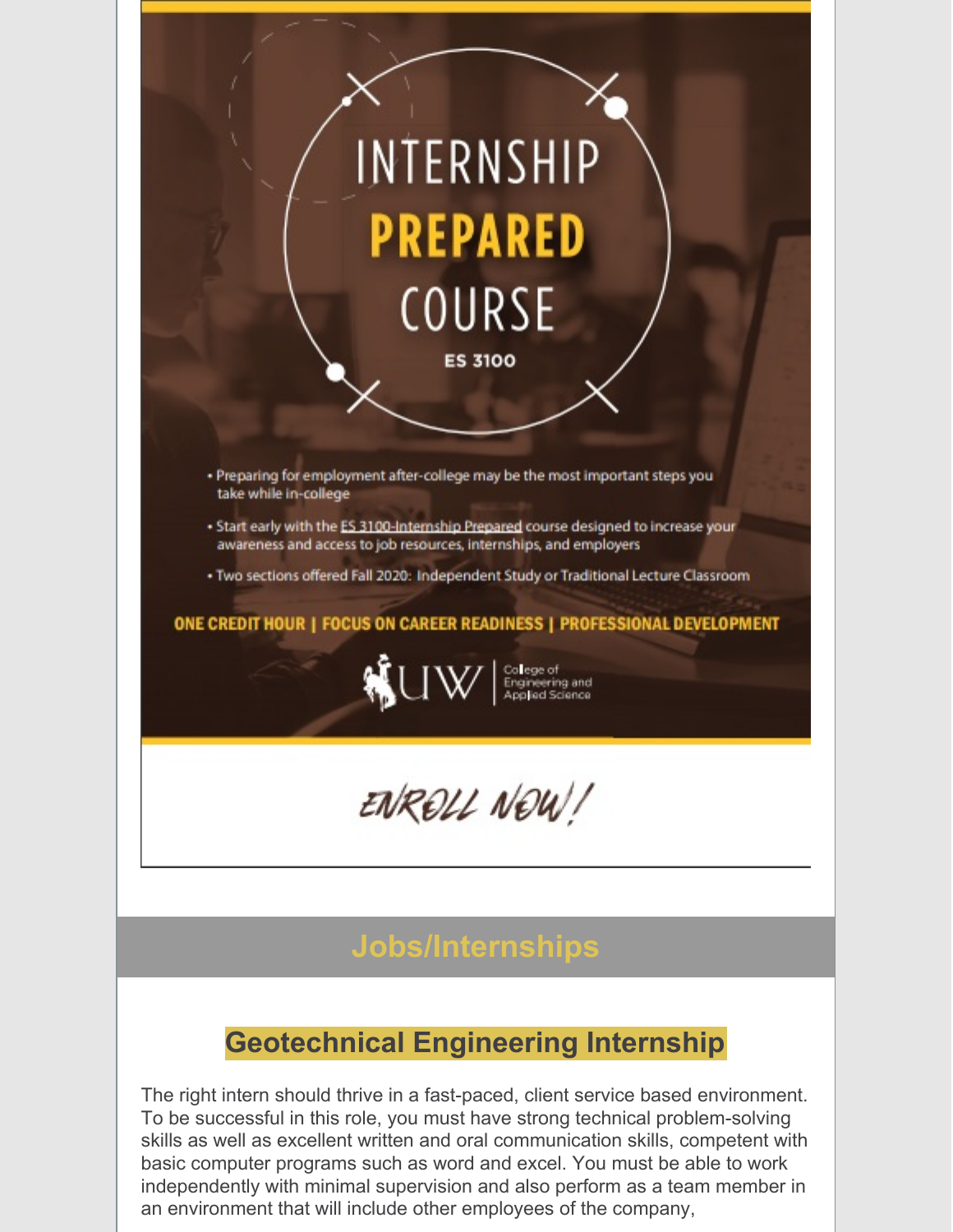

The right intern should thrive in a fast-paced, client service based environment. To be successful in this role, you must have strong technical problem-solving skills as well as excellent written and oral communication skills, competent with basic computer programs such as word and excel. You must be able to work independently with minimal supervision and also perform as a team member in an environment that will include other employees of the company,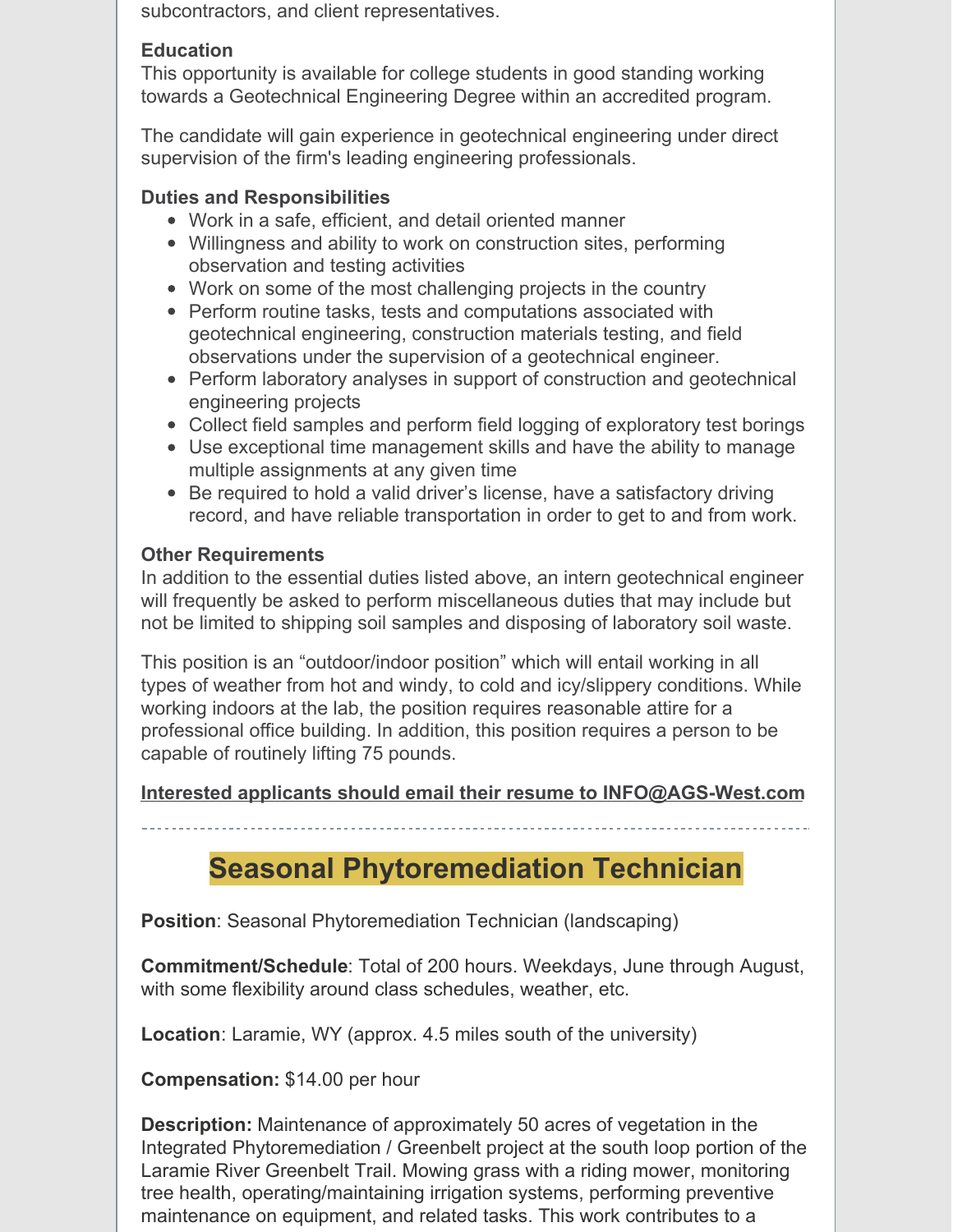subcontractors, and client representatives.

### **Education**

This opportunity is available for college students in good standing working towards a Geotechnical Engineering Degree within an accredited program.

The candidate will gain experience in geotechnical engineering under direct supervision of the firm's leading engineering professionals.

### **Duties and Responsibilities**

- Work in a safe, efficient, and detail oriented manner
- Willingness and ability to work on construction sites, performing observation and testing activities
- Work on some of the most challenging projects in the country
- Perform routine tasks, tests and computations associated with geotechnical engineering, construction materials testing, and field observations under the supervision of a geotechnical engineer.
- Perform laboratory analyses in support of construction and geotechnical engineering projects
- Collect field samples and perform field logging of exploratory test borings
- Use exceptional time management skills and have the ability to manage multiple assignments at any given time
- Be required to hold a valid driver's license, have a satisfactory driving record, and have reliable transportation in order to get to and from work.

### **Other Requirements**

In addition to the essential duties listed above, an intern geotechnical engineer will frequently be asked to perform miscellaneous duties that may include but not be limited to shipping soil samples and disposing of laboratory soil waste.

This position is an "outdoor/indoor position" which will entail working in all types of weather from hot and windy, to cold and icy/slippery conditions. While working indoors at the lab, the position requires reasonable attire for a professional office building. In addition, this position requires a person to be capable of routinely lifting 75 pounds.

### **Interested applicants should email their resume to INFO@AGS-West.com**

# **Seasonal Phytoremediation Technician**

**Position**: Seasonal Phytoremediation Technician (landscaping)

**Commitment/Schedule**: Total of 200 hours. Weekdays, June through August, with some flexibility around class schedules, weather, etc.

**Location**: Laramie, WY (approx. 4.5 miles south of the university)

**Compensation:** \$14.00 per hour

**Description:** Maintenance of approximately 50 acres of vegetation in the Integrated Phytoremediation / Greenbelt project at the south loop portion of the Laramie River Greenbelt Trail. Mowing grass with a riding mower, monitoring tree health, operating/maintaining irrigation systems, performing preventive maintenance on equipment, and related tasks. This work contributes to a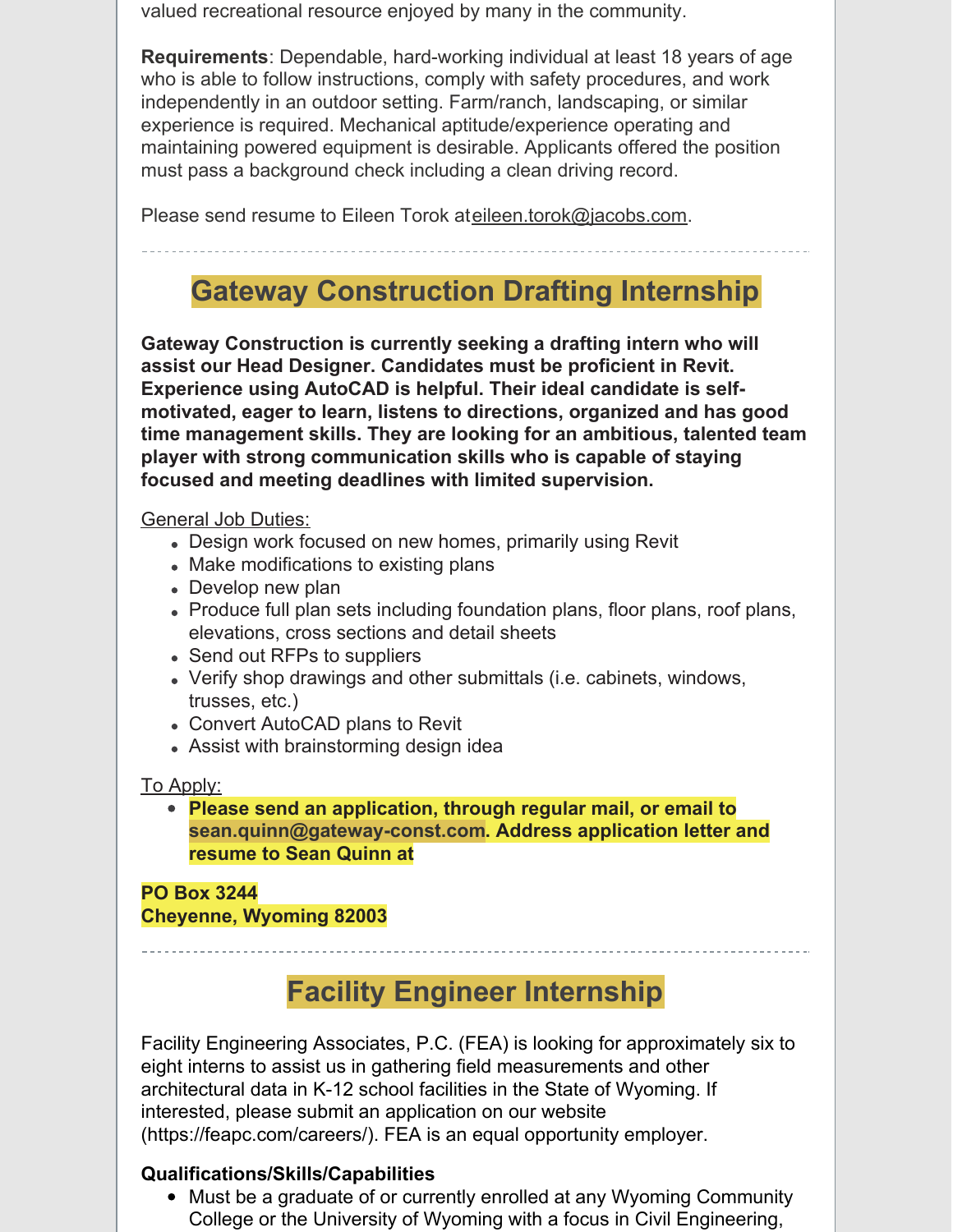valued recreational resource enjoyed by many in the community.

**Requirements**: Dependable, hard-working individual at least 18 years of age who is able to follow instructions, comply with safety procedures, and work independently in an outdoor setting. Farm/ranch, landscaping, or similar experience is required. Mechanical aptitude/experience operating and maintaining powered equipment is desirable. Applicants offered the position must pass a background check including a clean driving record.

Please send resume to Eileen Torok at[eileen.torok@jacobs.com.](mailto:eileen.torok@jacobs.com)

# **Gateway Construction Drafting Internship**

**Gateway Construction is currently seeking a drafting intern who will assist our Head Designer. Candidates must be proficient in Revit. Experience using AutoCAD is helpful. Their ideal candidate is selfmotivated, eager to learn, listens to directions, organized and has good time management skills. They are looking for an ambitious, talented team player with strong communication skills who is capable of staying focused and meeting deadlines with limited supervision.**

### General Job Duties:

- Design work focused on new homes, primarily using Revit
- Make modifications to existing plans
- Develop new plan
- Produce full plan sets including foundation plans, floor plans, roof plans, elevations, cross sections and detail sheets
- Send out RFPs to suppliers
- Verify shop drawings and other submittals (i.e. cabinets, windows, trusses, etc.)
- Convert AutoCAD plans to Revit
- Assist with brainstorming design idea

### To Apply:

**Please send an application, through regular mail, or email to sean.quinn@gateway-const.com. Address application letter and resume to Sean Quinn at**

### **PO Box 3244 Cheyenne, Wyoming 82003**

# **Facility Engineer Internship**

Facility Engineering Associates, P.C. (FEA) is looking for approximately six to eight interns to assist us in gathering field measurements and other architectural data in K-12 school facilities in the State of Wyoming. If interested, please submit an application on our website (https://feapc.com/careers/). FEA is an equal opportunity employer.

### **Qualifications/Skills/Capabilities**

Must be a graduate of or currently enrolled at any Wyoming Community College or the University of Wyoming with a focus in Civil Engineering,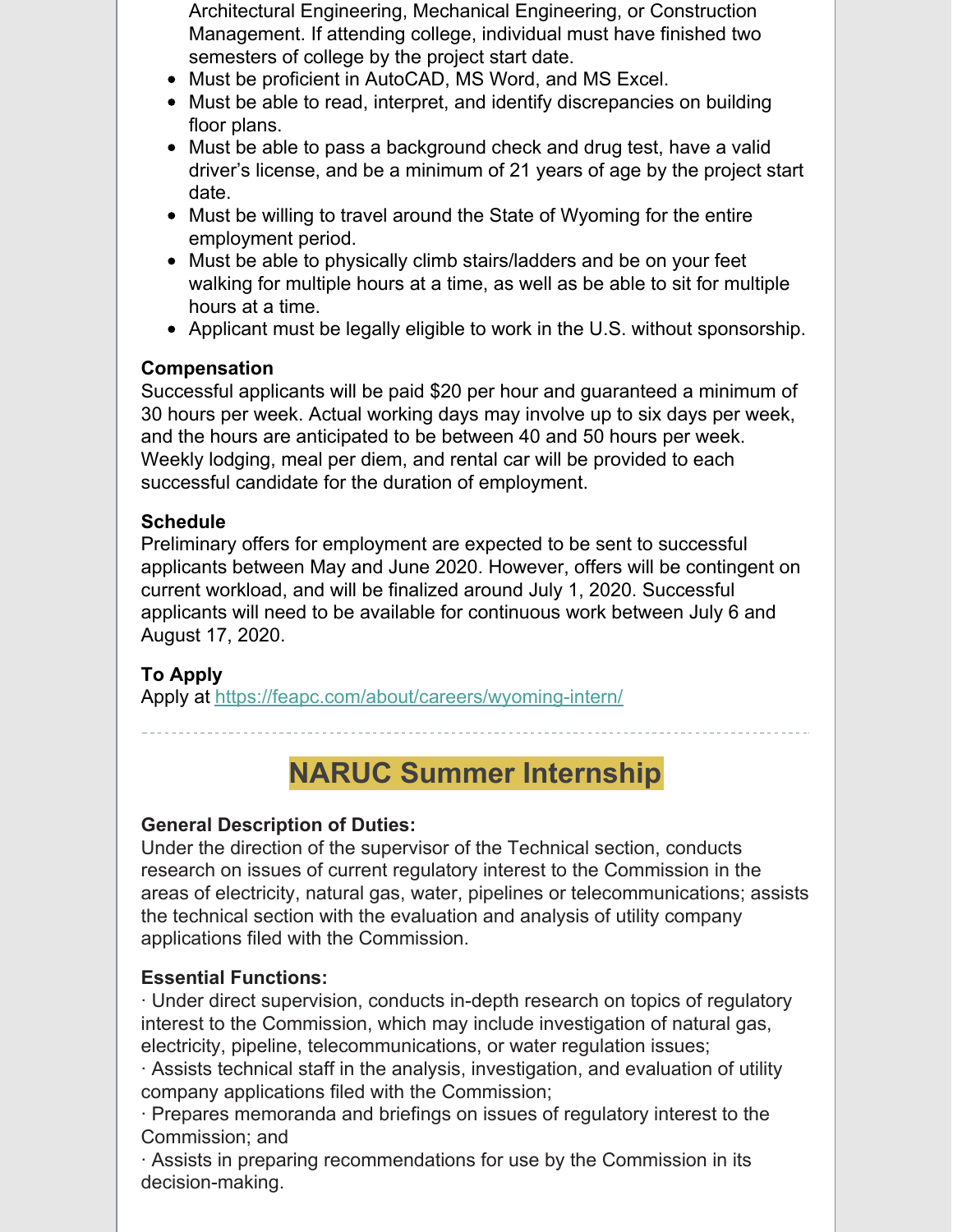Architectural Engineering, Mechanical Engineering, or Construction Management. If attending college, individual must have finished two semesters of college by the project start date.

- Must be proficient in AutoCAD, MS Word, and MS Excel.
- Must be able to read, interpret, and identify discrepancies on building floor plans.
- Must be able to pass a background check and drug test, have a valid driver's license, and be a minimum of 21 years of age by the project start date.
- Must be willing to travel around the State of Wyoming for the entire employment period.
- Must be able to physically climb stairs/ladders and be on your feet walking for multiple hours at a time, as well as be able to sit for multiple hours at a time.
- Applicant must be legally eligible to work in the U.S. without sponsorship.

### **Compensation**

Successful applicants will be paid \$20 per hour and guaranteed a minimum of 30 hours per week. Actual working days may involve up to six days per week, and the hours are anticipated to be between 40 and 50 hours per week. Weekly lodging, meal per diem, and rental car will be provided to each successful candidate for the duration of employment.

### **Schedule**

Preliminary offers for employment are expected to be sent to successful applicants between May and June 2020. However, offers will be contingent on current workload, and will be finalized around July 1, 2020. Successful applicants will need to be available for continuous work between July 6 and August 17, 2020.

### **To Apply**

Apply at <https://feapc.com/about/careers/wyoming-intern/>

**NARUC Summer Internship**

### **General Description of Duties:**

Under the direction of the supervisor of the Technical section, conducts research on issues of current regulatory interest to the Commission in the areas of electricity, natural gas, water, pipelines or telecommunications; assists the technical section with the evaluation and analysis of utility company applications filed with the Commission.

### **Essential Functions:**

· Under direct supervision, conducts in-depth research on topics of regulatory interest to the Commission, which may include investigation of natural gas, electricity, pipeline, telecommunications, or water regulation issues;

· Assists technical staff in the analysis, investigation, and evaluation of utility company applications filed with the Commission;

· Prepares memoranda and briefings on issues of regulatory interest to the Commission; and

· Assists in preparing recommendations for use by the Commission in its decision-making.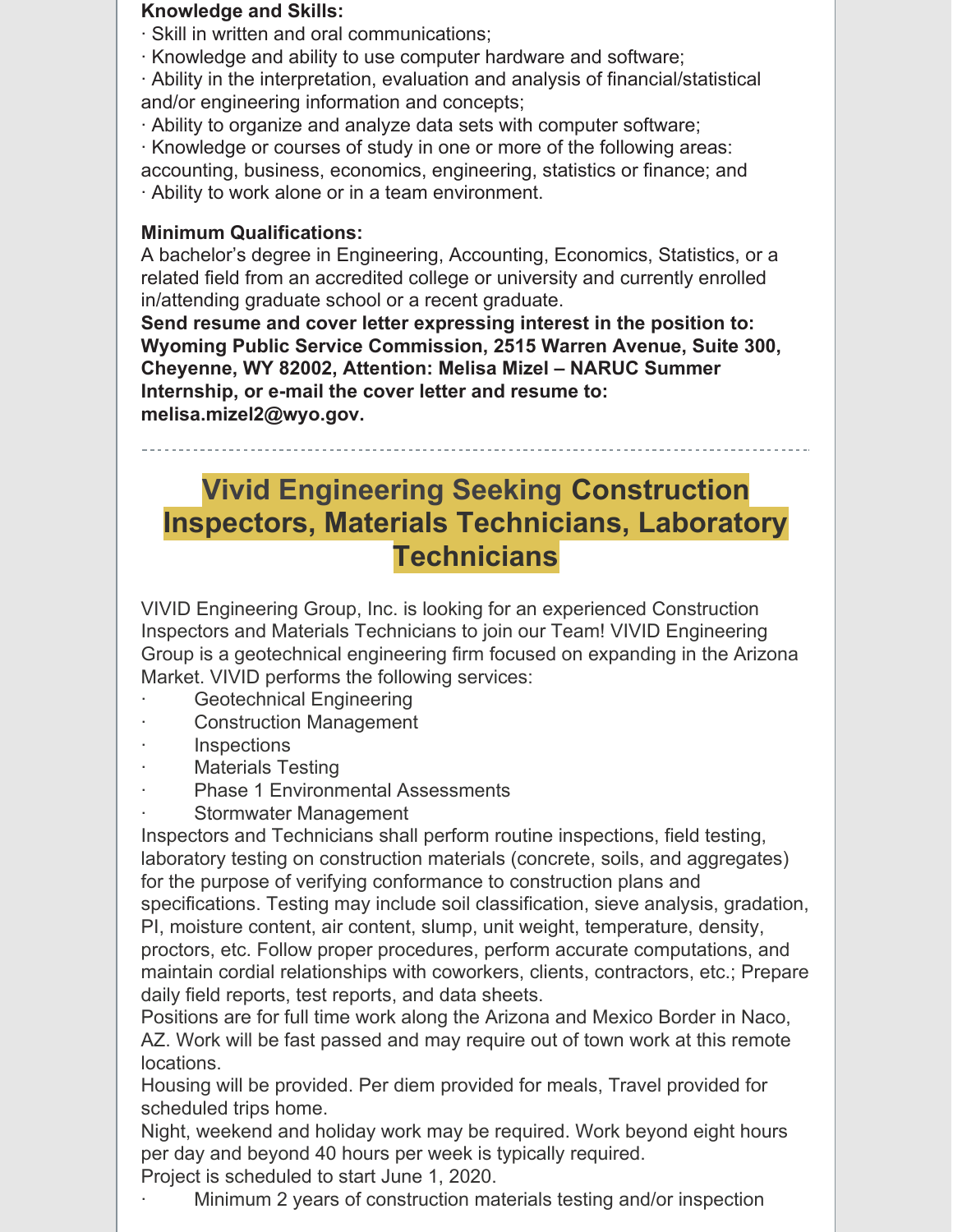#### **Knowledge and Skills:**

- · Skill in written and oral communications;
- · Knowledge and ability to use computer hardware and software;

· Ability in the interpretation, evaluation and analysis of financial/statistical and/or engineering information and concepts;

- · Ability to organize and analyze data sets with computer software;
- · Knowledge or courses of study in one or more of the following areas:

accounting, business, economics, engineering, statistics or finance; and

· Ability to work alone or in a team environment.

### **Minimum Qualifications:**

A bachelor's degree in Engineering, Accounting, Economics, Statistics, or a related field from an accredited college or university and currently enrolled in/attending graduate school or a recent graduate.

**Send resume and cover letter expressing interest in the position to: Wyoming Public Service Commission, 2515 Warren Avenue, Suite 300, Cheyenne, WY 82002, Attention: Melisa Mizel – NARUC Summer Internship, or e-mail the cover letter and resume to: melisa.mizel2@wyo.gov.**

## **Vivid Engineering Seeking Construction Inspectors, Materials Technicians, Laboratory Technicians**

VIVID Engineering Group, Inc. is looking for an experienced Construction Inspectors and Materials Technicians to join our Team! VIVID Engineering Group is a geotechnical engineering firm focused on expanding in the Arizona Market. VIVID performs the following services:

- Geotechnical Engineering
- **Construction Management**
- **Inspections**
- Materials Testing
- Phase 1 Environmental Assessments
- Stormwater Management

Inspectors and Technicians shall perform routine inspections, field testing, laboratory testing on construction materials (concrete, soils, and aggregates) for the purpose of verifying conformance to construction plans and specifications. Testing may include soil classification, sieve analysis, gradation, PI, moisture content, air content, slump, unit weight, temperature, density, proctors, etc. Follow proper procedures, perform accurate computations, and maintain cordial relationships with coworkers, clients, contractors, etc.; Prepare daily field reports, test reports, and data sheets.

Positions are for full time work along the Arizona and Mexico Border in Naco, AZ. Work will be fast passed and may require out of town work at this remote locations.

Housing will be provided. Per diem provided for meals, Travel provided for scheduled trips home.

Night, weekend and holiday work may be required. Work beyond eight hours per day and beyond 40 hours per week is typically required.

Project is scheduled to start June 1, 2020.

Minimum 2 years of construction materials testing and/or inspection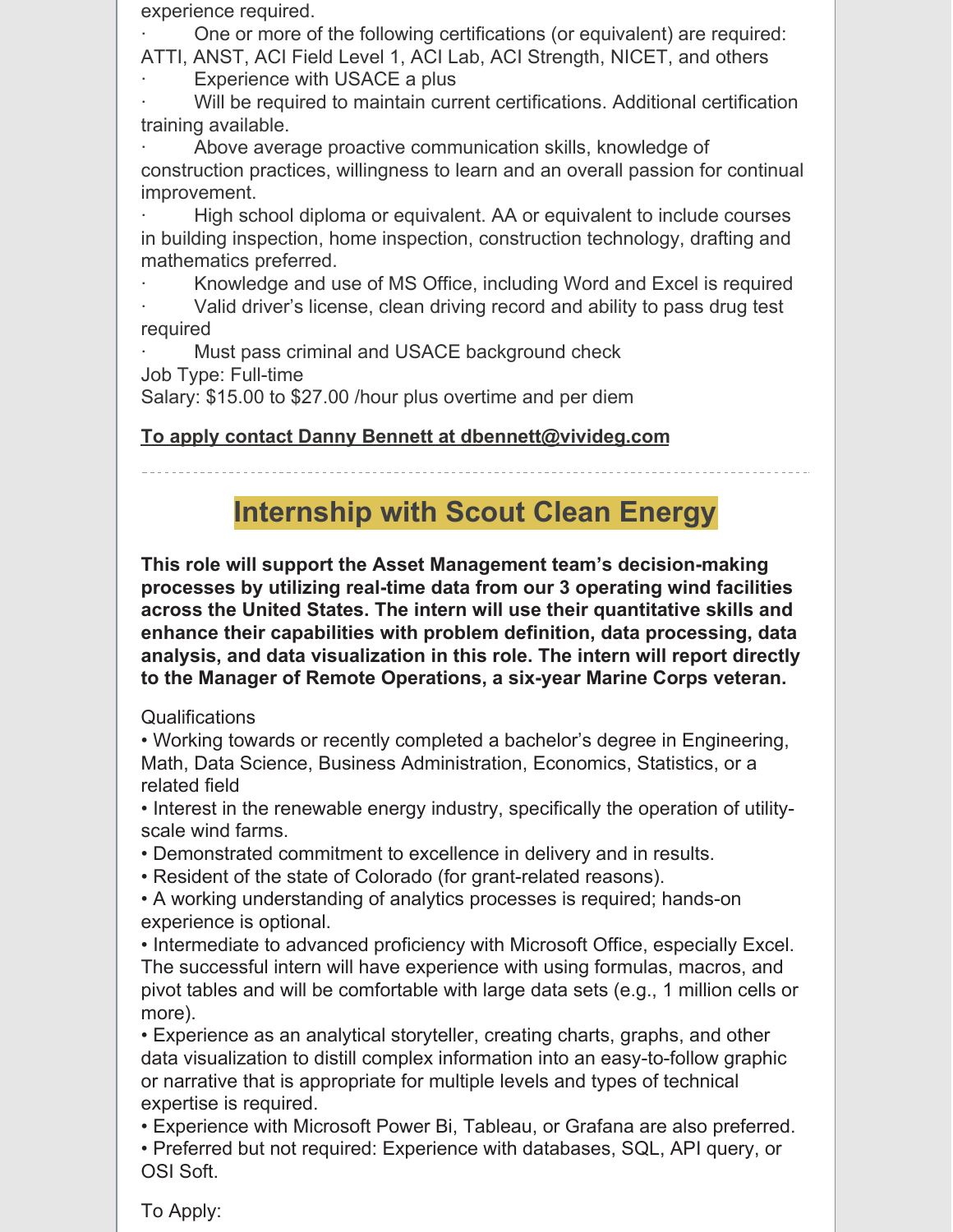experience required.

· One or more of the following certifications (or equivalent) are required: ATTI, ANST, ACI Field Level 1, ACI Lab, ACI Strength, NICET, and others

Experience with USACE a plus

Will be required to maintain current certifications. Additional certification training available.

Above average proactive communication skills, knowledge of construction practices, willingness to learn and an overall passion for continual improvement.

High school diploma or equivalent. AA or equivalent to include courses in building inspection, home inspection, construction technology, drafting and mathematics preferred.

Knowledge and use of MS Office, including Word and Excel is required

Valid driver's license, clean driving record and ability to pass drug test required

Must pass criminal and USACE background check

Job Type: Full-time

Salary: \$15.00 to \$27.00 /hour plus overtime and per diem

### **To apply contact Danny Bennett at dbennett@vivideg.com**

# **Internship with Scout Clean Energy**

**This role will support the Asset Management team's decision-making processes by utilizing real-time data from our 3 operating wind facilities across the United States. The intern will use their quantitative skills and enhance their capabilities with problem definition, data processing, data analysis, and data visualization in this role. The intern will report directly to the Manager of Remote Operations, a six-year Marine Corps veteran.**

### Qualifications

• Working towards or recently completed a bachelor's degree in Engineering, Math, Data Science, Business Administration, Economics, Statistics, or a related field

• Interest in the renewable energy industry, specifically the operation of utilityscale wind farms.

• Demonstrated commitment to excellence in delivery and in results.

• Resident of the state of Colorado (for grant-related reasons).

• A working understanding of analytics processes is required; hands-on experience is optional.

• Intermediate to advanced proficiency with Microsoft Office, especially Excel. The successful intern will have experience with using formulas, macros, and pivot tables and will be comfortable with large data sets (e.g., 1 million cells or more).

• Experience as an analytical storyteller, creating charts, graphs, and other data visualization to distill complex information into an easy-to-follow graphic or narrative that is appropriate for multiple levels and types of technical expertise is required.

• Experience with Microsoft Power Bi, Tableau, or Grafana are also preferred. • Preferred but not required: Experience with databases, SQL, API query, or OSI Soft.

To Apply: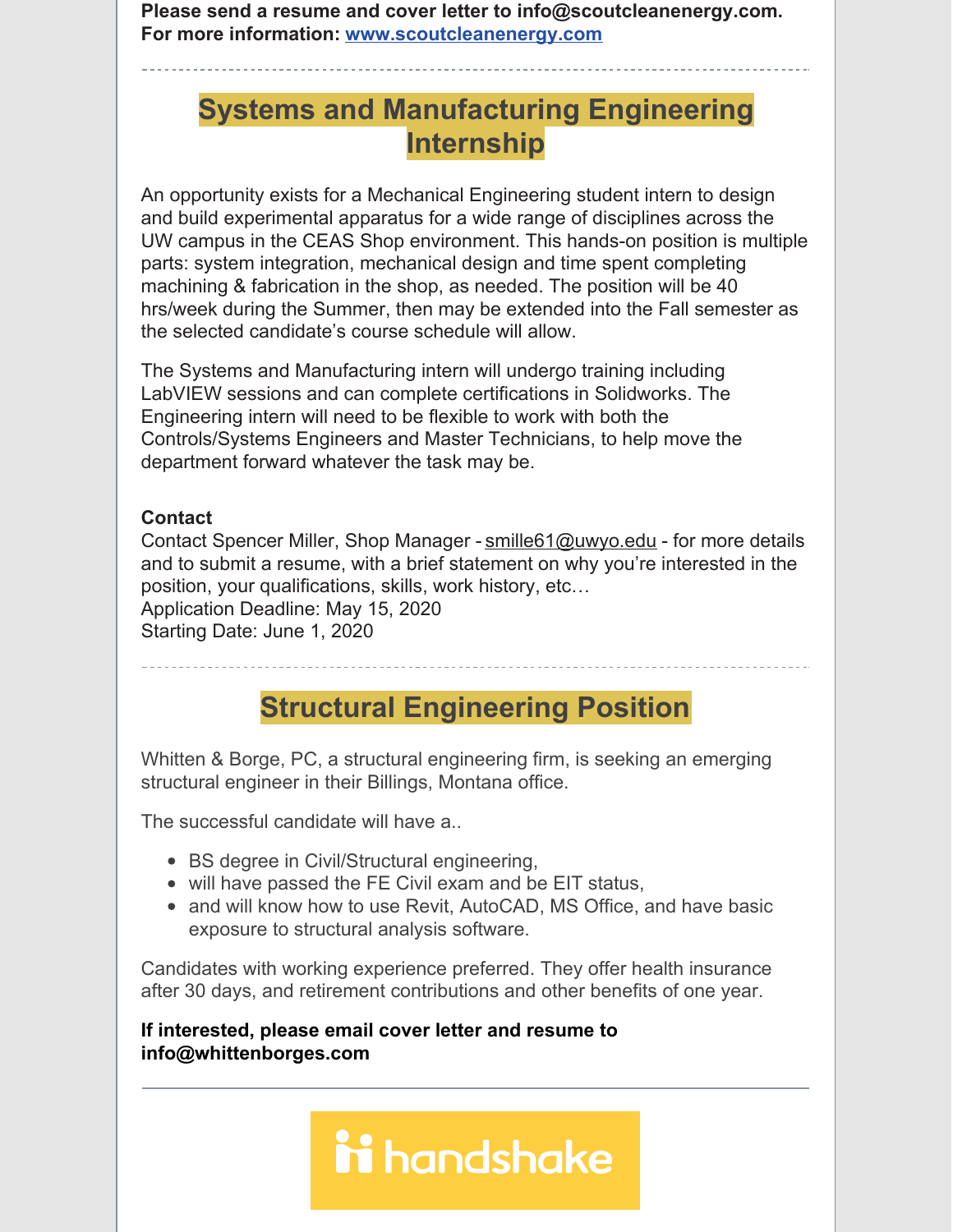**Please send a resume and cover letter to info@scoutcleanenergy.com. For more information: [www.scoutcleanenergy.com](http://www.scoutcleanenergy.com/)**

# **Systems and Manufacturing Engineering Internship**

An opportunity exists for a Mechanical Engineering student intern to design and build experimental apparatus for a wide range of disciplines across the UW campus in the CEAS Shop environment. This hands-on position is multiple parts: system integration, mechanical design and time spent completing machining & fabrication in the shop, as needed. The position will be 40 hrs/week during the Summer, then may be extended into the Fall semester as the selected candidate's course schedule will allow.

The Systems and Manufacturing intern will undergo training including LabVIEW sessions and can complete certifications in Solidworks. The Engineering intern will need to be flexible to work with both the Controls/Systems Engineers and Master Technicians, to help move the department forward whatever the task may be.

#### **Contact**

Contact Spencer Miller, Shop Manager - smille 61@uwyo.edu - for more details and to submit a resume, with a brief statement on why you're interested in the position, your qualifications, skills, work history, etc… Application Deadline: May 15, 2020

Starting Date: June 1, 2020

**Structural Engineering Position**

Whitten & Borge, PC, a structural engineering firm, is seeking an emerging structural engineer in their Billings, Montana office.

The successful candidate will have a..

- BS degree in Civil/Structural engineering,
- will have passed the FE Civil exam and be EIT status,
- and will know how to use Revit, AutoCAD, MS Office, and have basic exposure to structural analysis software.

Candidates with working experience preferred. They offer health insurance after 30 days, and retirement contributions and other benefits of one year.

**If interested, please email cover letter and resume to info@whittenborges.com**

# ii handshake